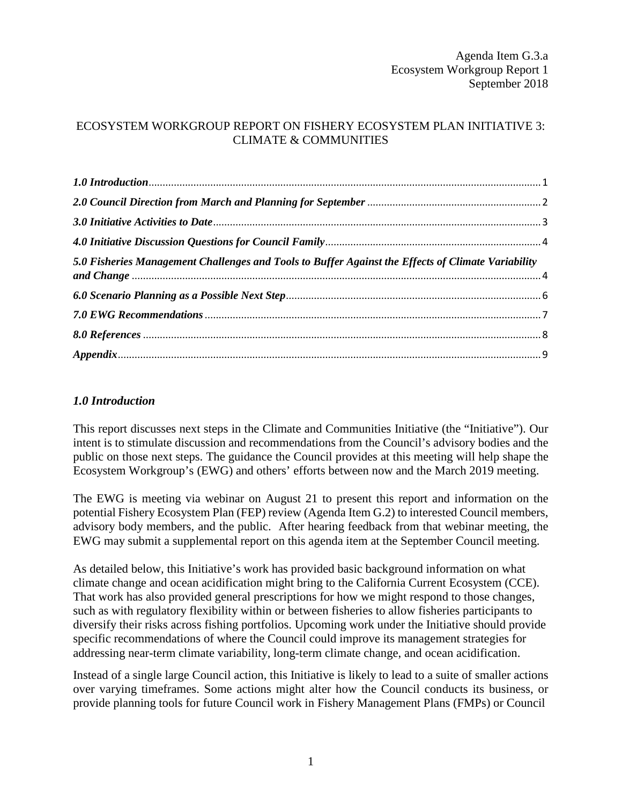# ECOSYSTEM WORKGROUP REPORT ON FISHERY ECOSYSTEM PLAN INITIATIVE 3: CLIMATE & COMMUNITIES

| 5.0 Fisheries Management Challenges and Tools to Buffer Against the Effects of Climate Variability |  |
|----------------------------------------------------------------------------------------------------|--|
|                                                                                                    |  |
|                                                                                                    |  |
|                                                                                                    |  |
|                                                                                                    |  |

## <span id="page-0-0"></span>*1.0 Introduction*

This report discusses next steps in the Climate and Communities Initiative (the "Initiative"). Our intent is to stimulate discussion and recommendations from the Council's advisory bodies and the public on those next steps. The guidance the Council provides at this meeting will help shape the Ecosystem Workgroup's (EWG) and others' efforts between now and the March 2019 meeting.

The EWG is meeting via webinar on August 21 to present this report and information on the potential Fishery Ecosystem Plan (FEP) review (Agenda Item G.2) to interested Council members, advisory body members, and the public. After hearing feedback from that webinar meeting, the EWG may submit a supplemental report on this agenda item at the September Council meeting.

As detailed below*,* this Initiative's work has provided basic background information on what climate change and ocean acidification might bring to the California Current Ecosystem (CCE). That work has also provided general prescriptions for how we might respond to those changes, such as with regulatory flexibility within or between fisheries to allow fisheries participants to diversify their risks across fishing portfolios. Upcoming work under the Initiative should provide specific recommendations of where the Council could improve its management strategies for addressing near-term climate variability, long-term climate change, and ocean acidification.

Instead of a single large Council action, this Initiative is likely to lead to a suite of smaller actions over varying timeframes. Some actions might alter how the Council conducts its business, or provide planning tools for future Council work in Fishery Management Plans (FMPs) or Council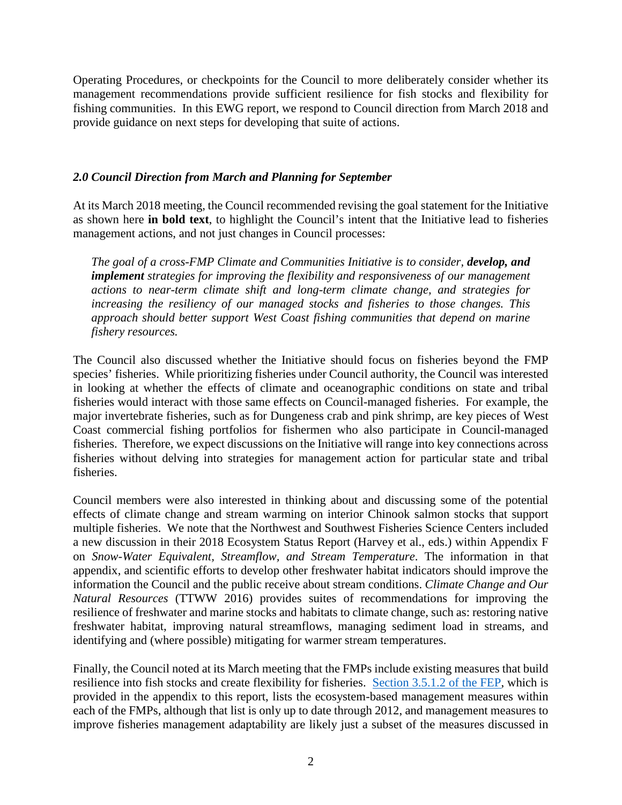Operating Procedures, or checkpoints for the Council to more deliberately consider whether its management recommendations provide sufficient resilience for fish stocks and flexibility for fishing communities. In this EWG report, we respond to Council direction from March 2018 and provide guidance on next steps for developing that suite of actions.

## <span id="page-1-0"></span>*2.0 Council Direction from March and Planning for September*

At its March 2018 meeting, the Council recommended revising the goal statement for the Initiative as shown here **in bold text**, to highlight the Council's intent that the Initiative lead to fisheries management actions, and not just changes in Council processes:

*The goal of a cross-FMP Climate and Communities Initiative is to consider, develop, and implement strategies for improving the flexibility and responsiveness of our management actions to near-term climate shift and long-term climate change, and strategies for increasing the resiliency of our managed stocks and fisheries to those changes. This approach should better support West Coast fishing communities that depend on marine fishery resources.*

The Council also discussed whether the Initiative should focus on fisheries beyond the FMP species' fisheries. While prioritizing fisheries under Council authority, the Council was interested in looking at whether the effects of climate and oceanographic conditions on state and tribal fisheries would interact with those same effects on Council-managed fisheries. For example, the major invertebrate fisheries, such as for Dungeness crab and pink shrimp, are key pieces of West Coast commercial fishing portfolios for fishermen who also participate in Council-managed fisheries. Therefore, we expect discussions on the Initiative will range into key connections across fisheries without delving into strategies for management action for particular state and tribal fisheries.

Council members were also interested in thinking about and discussing some of the potential effects of climate change and stream warming on interior Chinook salmon stocks that support multiple fisheries. We note that the Northwest and Southwest Fisheries Science Centers included a new discussion in their 2018 Ecosystem Status Report (Harvey et al., eds.) within Appendix F on *Snow-Water Equivalent, Streamflow, and Stream Temperature*. The information in that appendix, and scientific efforts to develop other freshwater habitat indicators should improve the information the Council and the public receive about stream conditions. *Climate Change and Our Natural Resources* (TTWW 2016) provides suites of recommendations for improving the resilience of freshwater and marine stocks and habitats to climate change, such as: restoring native freshwater habitat, improving natural streamflows, managing sediment load in streams, and identifying and (where possible) mitigating for warmer stream temperatures.

Finally, the Council noted at its March meeting that the FMPs include existing measures that build resilience into fish stocks and create flexibility for fisheries. [Section 3.5.1.2 of the FEP,](http://www.pcouncil.org/wp-content/uploads/FEP_FINAL.pdf) which is provided in the appendix to this report, lists the ecosystem-based management measures within each of the FMPs, although that list is only up to date through 2012, and management measures to improve fisheries management adaptability are likely just a subset of the measures discussed in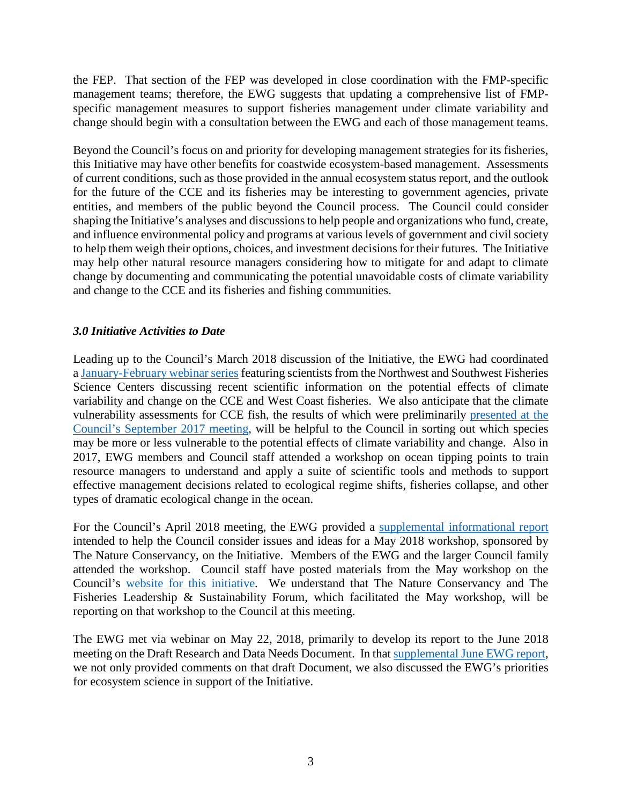the FEP. That section of the FEP was developed in close coordination with the FMP-specific management teams; therefore, the EWG suggests that updating a comprehensive list of FMPspecific management measures to support fisheries management under climate variability and change should begin with a consultation between the EWG and each of those management teams.

Beyond the Council's focus on and priority for developing management strategies for its fisheries, this Initiative may have other benefits for coastwide ecosystem-based management. Assessments of current conditions, such as those provided in the annual ecosystem status report, and the outlook for the future of the CCE and its fisheries may be interesting to government agencies, private entities, and members of the public beyond the Council process. The Council could consider shaping the Initiative's analyses and discussions to help people and organizations who fund, create, and influence environmental policy and programs at various levels of government and civil society to help them weigh their options, choices, and investment decisions for their futures. The Initiative may help other natural resource managers considering how to mitigate for and adapt to climate change by documenting and communicating the potential unavoidable costs of climate variability and change to the CCE and its fisheries and fishing communities.

### <span id="page-2-0"></span>*3.0 Initiative Activities to Date*

Leading up to the Council's March 2018 discussion of the Initiative, the EWG had coordinated [a January-February webinar series](https://www.pcouncil.org/ecosystem-based-management/fishery-ecosystem-plan-initiatives/climate-and-communities-initiative/climate-and-communities-initiative-2018-webinar-series/) featuring scientists from the Northwest and Southwest Fisheries Science Centers discussing recent scientific information on the potential effects of climate variability and change on the CCE and West Coast fisheries. We also anticipate that the climate vulnerability assessments for CCE fish, the results of which were preliminarily [presented](http://www.pcouncil.org/wp-content/uploads/2017/09/I1a_Sup_NWFSC_SWFSC_Prestn1_McClure_SEPT2017BB.pdf) at the [Council's September 2017 meeting,](http://www.pcouncil.org/wp-content/uploads/2017/09/I1a_Sup_NWFSC_SWFSC_Prestn1_McClure_SEPT2017BB.pdf) will be helpful to the Council in sorting out which species may be more or less vulnerable to the potential effects of climate variability and change. Also in 2017, EWG members and Council staff attended a workshop on ocean tipping points to train resource managers to understand and apply a suite of scientific tools and methods to support effective management decisions related to ecological regime shifts, fisheries collapse, and other types of dramatic ecological change in the ocean.

For the Council's April 2018 meeting, the EWG provided a [supplemental informational report](https://www.pcouncil.org/wp-content/uploads/2018/04/IR8_Supp_EWG_TNCworkshopRecommendations_APR2018BB.pdf) intended to help the Council consider issues and ideas for a May 2018 workshop, sponsored by The Nature Conservancy, on the Initiative. Members of the EWG and the larger Council family attended the workshop. Council staff have posted materials from the May workshop on the Council's [website for this initiative.](https://www.pcouncil.org/ecosystem-based-management/fishery-ecosystem-plan-initiatives/climate-and-communities-initiative/) We understand that The Nature Conservancy and The Fisheries Leadership & Sustainability Forum, which facilitated the May workshop, will be reporting on that workshop to the Council at this meeting.

The EWG met via webinar on May 22, 2018, primarily to develop its report to the June 2018 meeting on the Draft Research and Data Needs Document. In that [supplemental June EWG report,](https://www.pcouncil.org/wp-content/uploads/2018/06/C4a_Supp_EWG_Rpt1_Jun2018BB.pdf) we not only provided comments on that draft Document, we also discussed the EWG's priorities for ecosystem science in support of the Initiative.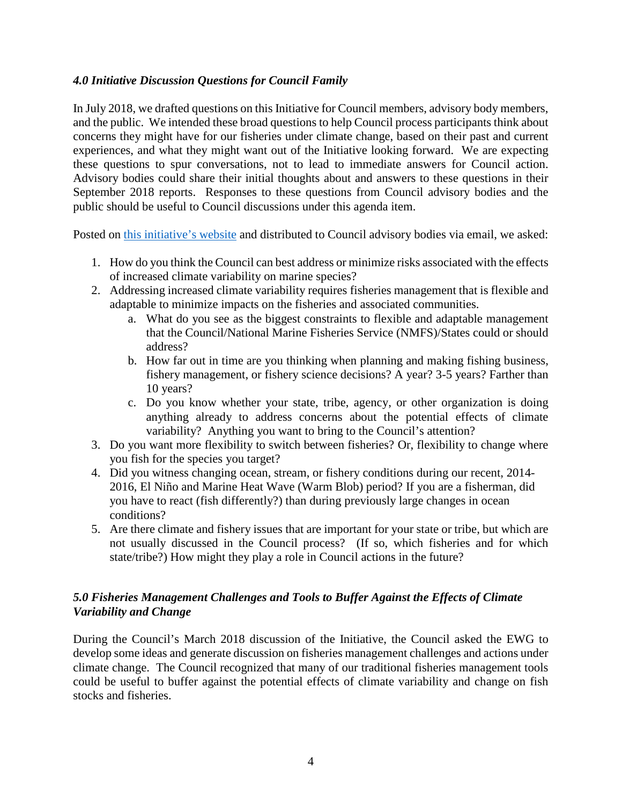## <span id="page-3-0"></span>*4.0 Initiative Discussion Questions for Council Family*

In July 2018, we drafted questions on this Initiative for Council members, advisory body members, and the public. We intended these broad questions to help Council process participants think about concerns they might have for our fisheries under climate change, based on their past and current experiences, and what they might want out of the Initiative looking forward. We are expecting these questions to spur conversations, not to lead to immediate answers for Council action. Advisory bodies could share their initial thoughts about and answers to these questions in their September 2018 reports. Responses to these questions from Council advisory bodies and the public should be useful to Council discussions under this agenda item.

Posted on [this initiative's website](https://www.pcouncil.org/ecosystem-based-management/fishery-ecosystem-plan-initiatives/climate-and-communities-initiative/) and distributed to Council advisory bodies via email, we asked:

- 1. How do you think the Council can best address or minimize risks associated with the effects of increased climate variability on marine species?
- 2. Addressing increased climate variability requires fisheries management that is flexible and adaptable to minimize impacts on the fisheries and associated communities.
	- a. What do you see as the biggest constraints to flexible and adaptable management that the Council/National Marine Fisheries Service (NMFS)/States could or should address?
	- b. How far out in time are you thinking when planning and making fishing business, fishery management, or fishery science decisions? A year? 3-5 years? Farther than 10 years?
	- c. Do you know whether your state, tribe, agency, or other organization is doing anything already to address concerns about the potential effects of climate variability? Anything you want to bring to the Council's attention?
- 3. Do you want more flexibility to switch between fisheries? Or, flexibility to change where you fish for the species you target?
- 4. Did you witness changing ocean, stream, or fishery conditions during our recent, 2014- 2016, El Niño and Marine Heat Wave (Warm Blob) period? If you are a fisherman, did you have to react (fish differently?) than during previously large changes in ocean conditions?
- 5. Are there climate and fishery issues that are important for your state or tribe, but which are not usually discussed in the Council process? (If so, which fisheries and for which state/tribe?) How might they play a role in Council actions in the future?

# <span id="page-3-1"></span>*5.0 Fisheries Management Challenges and Tools to Buffer Against the Effects of Climate Variability and Change*

During the Council's March 2018 discussion of the Initiative, the Council asked the EWG to develop some ideas and generate discussion on fisheries management challenges and actions under climate change. The Council recognized that many of our traditional fisheries management tools could be useful to buffer against the potential effects of climate variability and change on fish stocks and fisheries.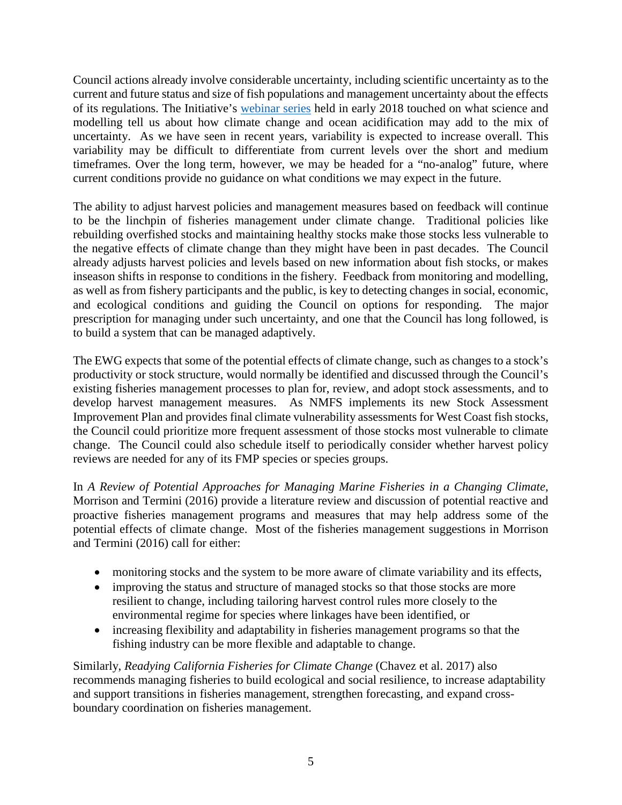Council actions already involve considerable uncertainty, including scientific uncertainty as to the current and future status and size of fish populations and management uncertainty about the effects of its regulations. The Initiative's [webinar series](https://www.pcouncil.org/ecosystem-based-management/fishery-ecosystem-plan-initiatives/climate-and-communities-initiative/climate-and-communities-initiative-2018-webinar-series/) held in early 2018 touched on what science and modelling tell us about how climate change and ocean acidification may add to the mix of uncertainty. As we have seen in recent years, variability is expected to increase overall. This variability may be difficult to differentiate from current levels over the short and medium timeframes. Over the long term, however, we may be headed for a "no-analog" future, where current conditions provide no guidance on what conditions we may expect in the future.

The ability to adjust harvest policies and management measures based on feedback will continue to be the linchpin of fisheries management under climate change. Traditional policies like rebuilding overfished stocks and maintaining healthy stocks make those stocks less vulnerable to the negative effects of climate change than they might have been in past decades. The Council already adjusts harvest policies and levels based on new information about fish stocks, or makes inseason shifts in response to conditions in the fishery. Feedback from monitoring and modelling, as well as from fishery participants and the public, is key to detecting changes in social, economic, and ecological conditions and guiding the Council on options for responding. The major prescription for managing under such uncertainty, and one that the Council has long followed, is to build a system that can be managed adaptively.

The EWG expects that some of the potential effects of climate change, such as changes to a stock's productivity or stock structure, would normally be identified and discussed through the Council's existing fisheries management processes to plan for, review, and adopt stock assessments, and to develop harvest management measures. As NMFS implements its new Stock Assessment Improvement Plan and provides final climate vulnerability assessments for West Coast fish stocks, the Council could prioritize more frequent assessment of those stocks most vulnerable to climate change. The Council could also schedule itself to periodically consider whether harvest policy reviews are needed for any of its FMP species or species groups.

In *A Review of Potential Approaches for Managing Marine Fisheries in a Changing Climate*, Morrison and Termini (2016) provide a literature review and discussion of potential reactive and proactive fisheries management programs and measures that may help address some of the potential effects of climate change. Most of the fisheries management suggestions in Morrison and Termini (2016) call for either:

- monitoring stocks and the system to be more aware of climate variability and its effects,
- improving the status and structure of managed stocks so that those stocks are more resilient to change, including tailoring harvest control rules more closely to the environmental regime for species where linkages have been identified, or
- increasing flexibility and adaptability in fisheries management programs so that the fishing industry can be more flexible and adaptable to change.

Similarly, *Readying California Fisheries for Climate Change* (Chavez et al. 2017) also recommends managing fisheries to build ecological and social resilience, to increase adaptability and support transitions in fisheries management, strengthen forecasting, and expand crossboundary coordination on fisheries management.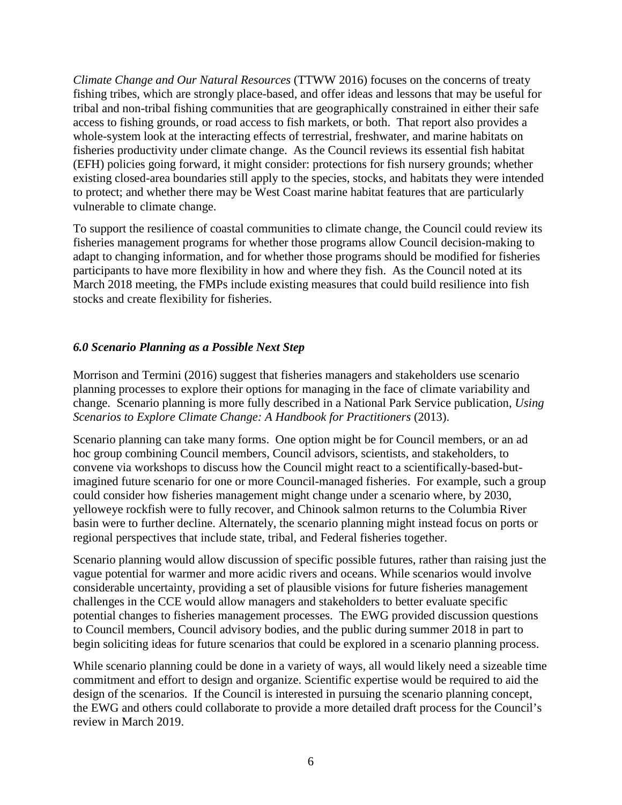*Climate Change and Our Natural Resources* (TTWW 2016) focuses on the concerns of treaty fishing tribes, which are strongly place-based, and offer ideas and lessons that may be useful for tribal and non-tribal fishing communities that are geographically constrained in either their safe access to fishing grounds, or road access to fish markets, or both. That report also provides a whole-system look at the interacting effects of terrestrial, freshwater, and marine habitats on fisheries productivity under climate change. As the Council reviews its essential fish habitat (EFH) policies going forward, it might consider: protections for fish nursery grounds; whether existing closed-area boundaries still apply to the species, stocks, and habitats they were intended to protect; and whether there may be West Coast marine habitat features that are particularly vulnerable to climate change.

To support the resilience of coastal communities to climate change, the Council could review its fisheries management programs for whether those programs allow Council decision-making to adapt to changing information, and for whether those programs should be modified for fisheries participants to have more flexibility in how and where they fish. As the Council noted at its March 2018 meeting, the FMPs include existing measures that could build resilience into fish stocks and create flexibility for fisheries.

## <span id="page-5-0"></span>*6.0 Scenario Planning as a Possible Next Step*

Morrison and Termini (2016) suggest that fisheries managers and stakeholders use scenario planning processes to explore their options for managing in the face of climate variability and change. Scenario planning is more fully described in a National Park Service publication, *Using Scenarios to Explore Climate Change: A Handbook for Practitioners* (2013).

Scenario planning can take many forms. One option might be for Council members, or an ad hoc group combining Council members, Council advisors, scientists, and stakeholders, to convene via workshops to discuss how the Council might react to a scientifically-based-butimagined future scenario for one or more Council-managed fisheries. For example, such a group could consider how fisheries management might change under a scenario where, by 2030, yelloweye rockfish were to fully recover, and Chinook salmon returns to the Columbia River basin were to further decline. Alternately, the scenario planning might instead focus on ports or regional perspectives that include state, tribal, and Federal fisheries together.

Scenario planning would allow discussion of specific possible futures, rather than raising just the vague potential for warmer and more acidic rivers and oceans. While scenarios would involve considerable uncertainty, providing a set of plausible visions for future fisheries management challenges in the CCE would allow managers and stakeholders to better evaluate specific potential changes to fisheries management processes. The EWG provided discussion questions to Council members, Council advisory bodies, and the public during summer 2018 in part to begin soliciting ideas for future scenarios that could be explored in a scenario planning process.

While scenario planning could be done in a variety of ways, all would likely need a sizeable time commitment and effort to design and organize. Scientific expertise would be required to aid the design of the scenarios. If the Council is interested in pursuing the scenario planning concept, the EWG and others could collaborate to provide a more detailed draft process for the Council's review in March 2019.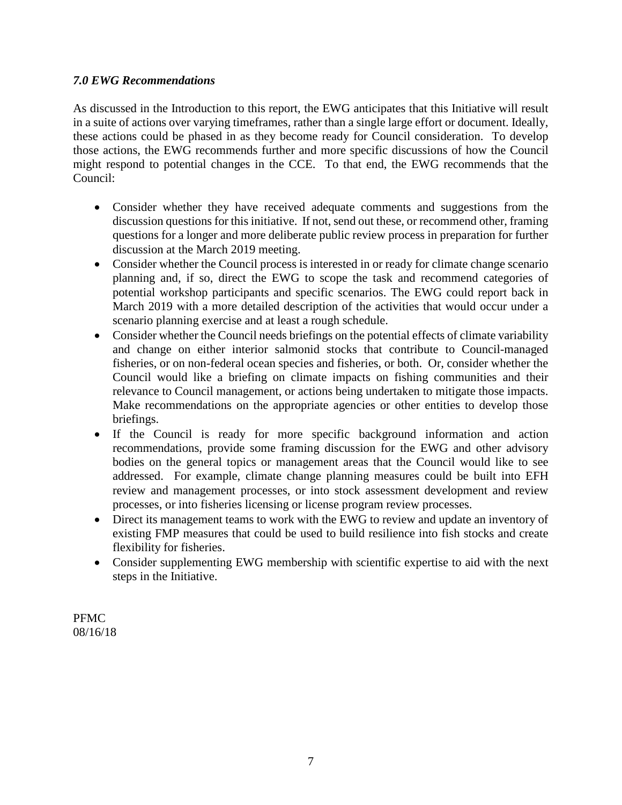## <span id="page-6-0"></span>*7.0 EWG Recommendations*

As discussed in the Introduction to this report, the EWG anticipates that this Initiative will result in a suite of actions over varying timeframes, rather than a single large effort or document. Ideally, these actions could be phased in as they become ready for Council consideration. To develop those actions, the EWG recommends further and more specific discussions of how the Council might respond to potential changes in the CCE. To that end, the EWG recommends that the Council:

- Consider whether they have received adequate comments and suggestions from the discussion questions for this initiative. If not, send out these, or recommend other, framing questions for a longer and more deliberate public review process in preparation for further discussion at the March 2019 meeting.
- Consider whether the Council process is interested in or ready for climate change scenario planning and, if so, direct the EWG to scope the task and recommend categories of potential workshop participants and specific scenarios. The EWG could report back in March 2019 with a more detailed description of the activities that would occur under a scenario planning exercise and at least a rough schedule.
- Consider whether the Council needs briefings on the potential effects of climate variability and change on either interior salmonid stocks that contribute to Council-managed fisheries, or on non-federal ocean species and fisheries, or both. Or, consider whether the Council would like a briefing on climate impacts on fishing communities and their relevance to Council management, or actions being undertaken to mitigate those impacts. Make recommendations on the appropriate agencies or other entities to develop those briefings.
- If the Council is ready for more specific background information and action recommendations, provide some framing discussion for the EWG and other advisory bodies on the general topics or management areas that the Council would like to see addressed. For example, climate change planning measures could be built into EFH review and management processes, or into stock assessment development and review processes, or into fisheries licensing or license program review processes.
- Direct its management teams to work with the EWG to review and update an inventory of existing FMP measures that could be used to build resilience into fish stocks and create flexibility for fisheries.
- Consider supplementing EWG membership with scientific expertise to aid with the next steps in the Initiative.

PFMC 08/16/18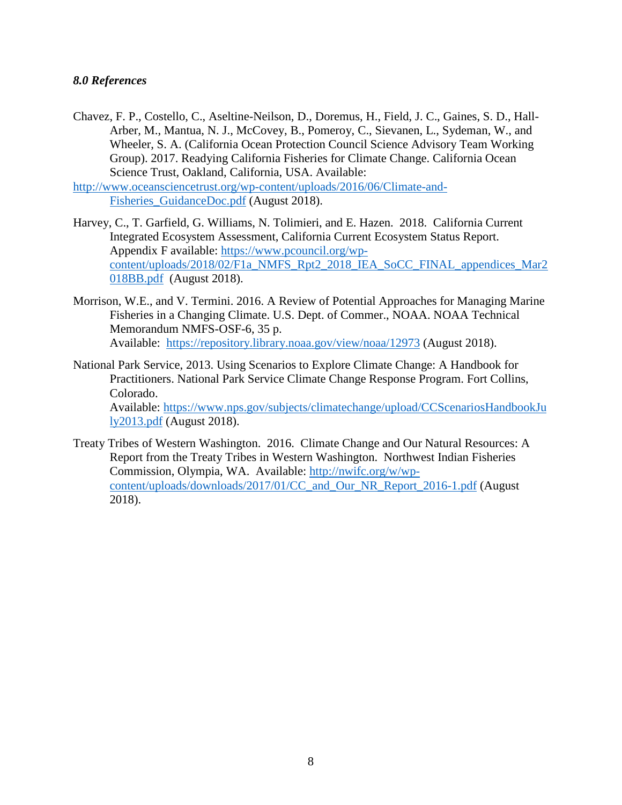### <span id="page-7-0"></span>*8.0 References*

Chavez, F. P., Costello, C., Aseltine-Neilson, D., Doremus, H., Field, J. C., Gaines, S. D., Hall-Arber, M., Mantua, N. J., McCovey, B., Pomeroy, C., Sievanen, L., Sydeman, W., and Wheeler, S. A. (California Ocean Protection Council Science Advisory Team Working Group). 2017. Readying California Fisheries for Climate Change. California Ocean Science Trust, Oakland, California, USA. Available:

[http://www.oceansciencetrust.org/wp-content/uploads/2016/06/Climate-and-](http://www.oceansciencetrust.org/wp-content/uploads/2016/06/Climate-and-Fisheries_GuidanceDoc.pdf)[Fisheries\\_GuidanceDoc.pdf](http://www.oceansciencetrust.org/wp-content/uploads/2016/06/Climate-and-Fisheries_GuidanceDoc.pdf) (August 2018).

- Harvey, C., T. Garfield, G. Williams, N. Tolimieri, and E. Hazen. 2018. California Current Integrated Ecosystem Assessment, California Current Ecosystem Status Report. Appendix F available: [https://www.pcouncil.org/wp](https://www.pcouncil.org/wp-content/uploads/2018/02/F1a_NMFS_Rpt2_2018_IEA_SoCC_FINAL_appendices_Mar2018BB.pdf)[content/uploads/2018/02/F1a\\_NMFS\\_Rpt2\\_2018\\_IEA\\_SoCC\\_FINAL\\_appendices\\_Mar2](https://www.pcouncil.org/wp-content/uploads/2018/02/F1a_NMFS_Rpt2_2018_IEA_SoCC_FINAL_appendices_Mar2018BB.pdf) [018BB.pdf](https://www.pcouncil.org/wp-content/uploads/2018/02/F1a_NMFS_Rpt2_2018_IEA_SoCC_FINAL_appendices_Mar2018BB.pdf) (August 2018).
- Morrison, W.E., and V. Termini. 2016. A Review of Potential Approaches for Managing Marine Fisheries in a Changing Climate. U.S. Dept. of Commer., NOAA. NOAA Technical Memorandum NMFS-OSF-6, 35 p. Available: <https://repository.library.noaa.gov/view/noaa/12973> (August 2018).
- National Park Service, 2013. Using Scenarios to Explore Climate Change: A Handbook for Practitioners. National Park Service Climate Change Response Program. Fort Collins, Colorado. Available: [https://www.nps.gov/subjects/climatechange/upload/CCScenariosHandbookJu](https://www.nps.gov/subjects/climatechange/upload/CCScenariosHandbookJuly2013.pdf) [ly2013.pdf](https://www.nps.gov/subjects/climatechange/upload/CCScenariosHandbookJuly2013.pdf) (August 2018).
- Treaty Tribes of Western Washington. 2016. Climate Change and Our Natural Resources: A Report from the Treaty Tribes in Western Washington. Northwest Indian Fisheries Commission, Olympia, WA. Available: [http://nwifc.org/w/wp](http://nwifc.org/w/wp-content/uploads/downloads/2017/01/CC_and_Our_NR_Report_2016-1.pdf)[content/uploads/downloads/2017/01/CC\\_and\\_Our\\_NR\\_Report\\_2016-1.pdf](http://nwifc.org/w/wp-content/uploads/downloads/2017/01/CC_and_Our_NR_Report_2016-1.pdf) (August 2018).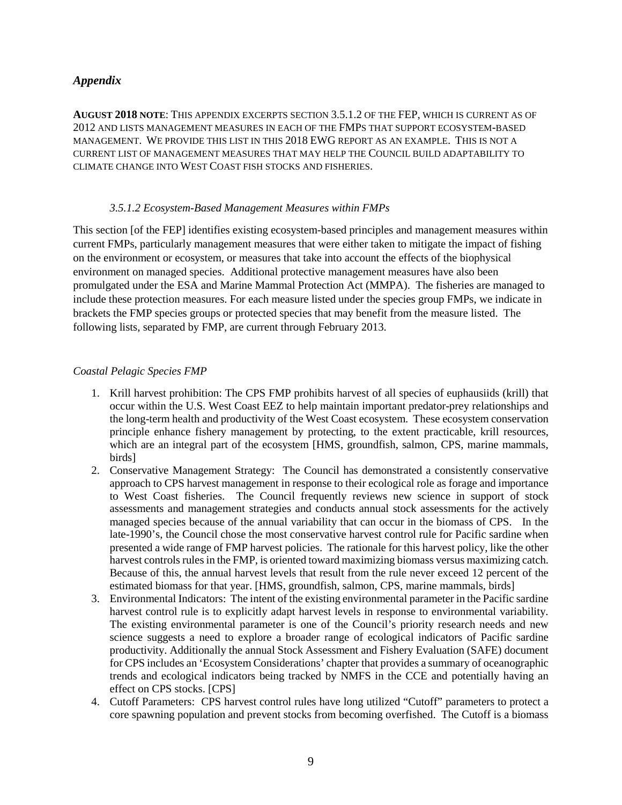### <span id="page-8-0"></span>*Appendix*

**AUGUST 2018 NOTE**: THIS APPENDIX EXCERPTS SECTION 3.5.1.2 OF THE FEP, WHICH IS CURRENT AS OF 2012 AND LISTS MANAGEMENT MEASURES IN EACH OF THE FMPS THAT SUPPORT ECOSYSTEM-BASED MANAGEMENT. WE PROVIDE THIS LIST IN THIS 2018 EWG REPORT AS AN EXAMPLE. THIS IS NOT A CURRENT LIST OF MANAGEMENT MEASURES THAT MAY HELP THE COUNCIL BUILD ADAPTABILITY TO CLIMATE CHANGE INTO WEST COAST FISH STOCKS AND FISHERIES.

#### *3.5.1.2 Ecosystem-Based Management Measures within FMPs*

This section [of the FEP] identifies existing ecosystem-based principles and management measures within current FMPs, particularly management measures that were either taken to mitigate the impact of fishing on the environment or ecosystem, or measures that take into account the effects of the biophysical environment on managed species. Additional protective management measures have also been promulgated under the ESA and Marine Mammal Protection Act (MMPA). The fisheries are managed to include these protection measures. For each measure listed under the species group FMPs, we indicate in brackets the FMP species groups or protected species that may benefit from the measure listed. The following lists, separated by FMP, are current through February 2013.

#### *Coastal Pelagic Species FMP*

- 1. Krill harvest prohibition: The CPS FMP prohibits harvest of all species of euphausiids (krill) that occur within the U.S. West Coast EEZ to help maintain important predator-prey relationships and the long-term health and productivity of the West Coast ecosystem. These ecosystem conservation principle enhance fishery management by protecting, to the extent practicable, krill resources, which are an integral part of the ecosystem [HMS, groundfish, salmon, CPS, marine mammals, birds]
- 2. Conservative Management Strategy: The Council has demonstrated a consistently conservative approach to CPS harvest management in response to their ecological role as forage and importance to West Coast fisheries. The Council frequently reviews new science in support of stock assessments and management strategies and conducts annual stock assessments for the actively managed species because of the annual variability that can occur in the biomass of CPS. In the late-1990's, the Council chose the most conservative harvest control rule for Pacific sardine when presented a wide range of FMP harvest policies. The rationale for this harvest policy, like the other harvest controls rules in the FMP, is oriented toward maximizing biomass versus maximizing catch. Because of this, the annual harvest levels that result from the rule never exceed 12 percent of the estimated biomass for that year. [HMS, groundfish, salmon, CPS, marine mammals, birds]
- 3. Environmental Indicators: The intent of the existing environmental parameter in the Pacific sardine harvest control rule is to explicitly adapt harvest levels in response to environmental variability. The existing environmental parameter is one of the Council's priority research needs and new science suggests a need to explore a broader range of ecological indicators of Pacific sardine productivity. Additionally the annual Stock Assessment and Fishery Evaluation (SAFE) document for CPS includes an 'Ecosystem Considerations' chapter that provides a summary of oceanographic trends and ecological indicators being tracked by NMFS in the CCE and potentially having an effect on CPS stocks. [CPS]
- 4. Cutoff Parameters: CPS harvest control rules have long utilized "Cutoff" parameters to protect a core spawning population and prevent stocks from becoming overfished. The Cutoff is a biomass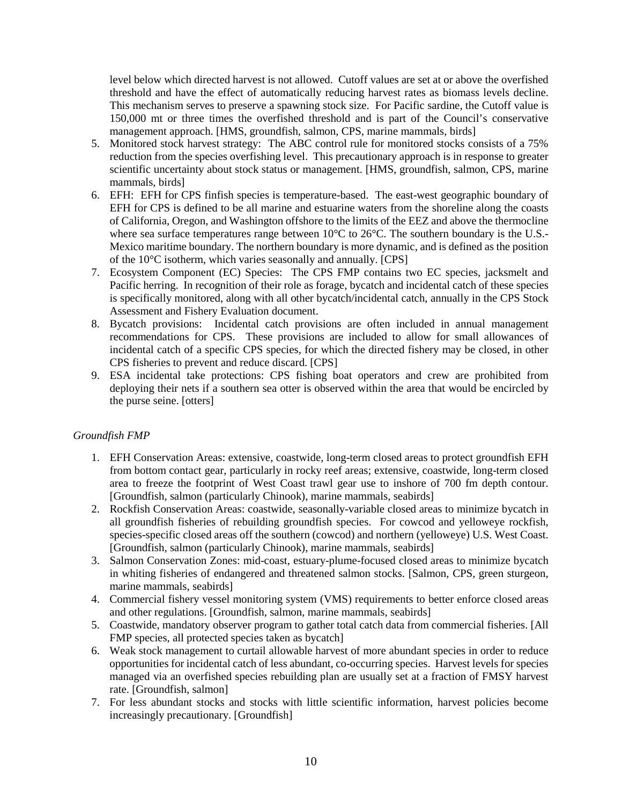level below which directed harvest is not allowed. Cutoff values are set at or above the overfished threshold and have the effect of automatically reducing harvest rates as biomass levels decline. This mechanism serves to preserve a spawning stock size. For Pacific sardine, the Cutoff value is 150,000 mt or three times the overfished threshold and is part of the Council's conservative management approach. [HMS, groundfish, salmon, CPS, marine mammals, birds]

- 5. Monitored stock harvest strategy: The ABC control rule for monitored stocks consists of a 75% reduction from the species overfishing level. This precautionary approach is in response to greater scientific uncertainty about stock status or management. [HMS, groundfish, salmon, CPS, marine mammals, birds]
- 6. EFH: EFH for CPS finfish species is temperature-based. The east-west geographic boundary of EFH for CPS is defined to be all marine and estuarine waters from the shoreline along the coasts of California, Oregon, and Washington offshore to the limits of the EEZ and above the thermocline where sea surface temperatures range between  $10^{\circ}$ C to  $26^{\circ}$ C. The southern boundary is the U.S.-Mexico maritime boundary. The northern boundary is more dynamic, and is defined as the position of the 10°C isotherm, which varies seasonally and annually. [CPS]
- 7. Ecosystem Component (EC) Species: The CPS FMP contains two EC species, jacksmelt and Pacific herring. In recognition of their role as forage, bycatch and incidental catch of these species is specifically monitored, along with all other bycatch/incidental catch, annually in the CPS Stock Assessment and Fishery Evaluation document.
- 8. Bycatch provisions: Incidental catch provisions are often included in annual management recommendations for CPS. These provisions are included to allow for small allowances of incidental catch of a specific CPS species, for which the directed fishery may be closed, in other CPS fisheries to prevent and reduce discard. [CPS]
- 9. ESA incidental take protections: CPS fishing boat operators and crew are prohibited from deploying their nets if a southern sea otter is observed within the area that would be encircled by the purse seine. [otters]

#### *Groundfish FMP*

- 1. EFH Conservation Areas: extensive, coastwide, long-term closed areas to protect groundfish EFH from bottom contact gear, particularly in rocky reef areas; extensive, coastwide, long-term closed area to freeze the footprint of West Coast trawl gear use to inshore of 700 fm depth contour. [Groundfish, salmon (particularly Chinook), marine mammals, seabirds]
- 2. Rockfish Conservation Areas: coastwide, seasonally-variable closed areas to minimize bycatch in all groundfish fisheries of rebuilding groundfish species. For cowcod and yelloweye rockfish, species-specific closed areas off the southern (cowcod) and northern (yelloweye) U.S. West Coast. [Groundfish, salmon (particularly Chinook), marine mammals, seabirds]
- 3. Salmon Conservation Zones: mid-coast, estuary-plume-focused closed areas to minimize bycatch in whiting fisheries of endangered and threatened salmon stocks. [Salmon, CPS, green sturgeon, marine mammals, seabirds]
- 4. Commercial fishery vessel monitoring system (VMS) requirements to better enforce closed areas and other regulations. [Groundfish, salmon, marine mammals, seabirds]
- 5. Coastwide, mandatory observer program to gather total catch data from commercial fisheries. [All FMP species, all protected species taken as bycatch]
- 6. Weak stock management to curtail allowable harvest of more abundant species in order to reduce opportunities for incidental catch of less abundant, co-occurring species. Harvest levels for species managed via an overfished species rebuilding plan are usually set at a fraction of FMSY harvest rate. [Groundfish, salmon]
- 7. For less abundant stocks and stocks with little scientific information, harvest policies become increasingly precautionary. [Groundfish]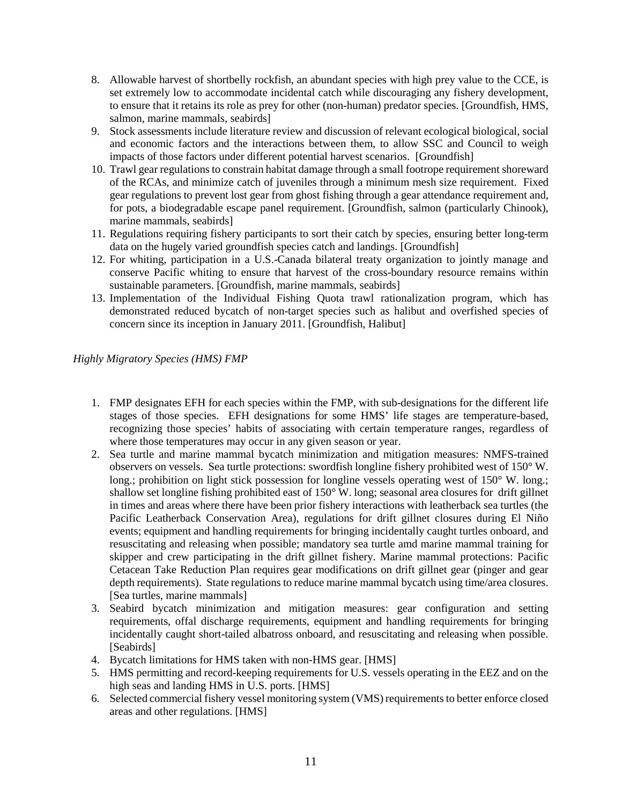- 8. Allowable harvest of shortbelly rockfish, an abundant species with high prey value to the CCE, is set extremely low to accommodate incidental catch while discouraging any fishery development, to ensure that it retains its role as prey for other (non-human) predator species. [Groundfish, HMS, salmon, marine mammals, seabirds]
- 9. Stock assessments include literature review and discussion of relevant ecological biological, social and economic factors and the interactions between them, to allow SSC and Council to weigh impacts of those factors under different potential harvest scenarios. [Groundfish]
- 10. Trawl gear regulations to constrain habitat damage through a small footrope requirement shoreward of the RCAs, and minimize catch of juveniles through a minimum mesh size requirement. Fixed gear regulations to prevent lost gear from ghost fishing through a gear attendance requirement and, for pots, a biodegradable escape panel requirement. [Groundfish, salmon (particularly Chinook), marine mammals, seabirds]
- 11. Regulations requiring fishery participants to sort their catch by species, ensuring better long-term data on the hugely varied groundfish species catch and landings. [Groundfish]
- 12. For whiting, participation in a U.S.-Canada bilateral treaty organization to jointly manage and conserve Pacific whiting to ensure that harvest of the cross-boundary resource remains within sustainable parameters. [Groundfish, marine mammals, seabirds]
- 13. Implementation of the Individual Fishing Quota trawl rationalization program, which has demonstrated reduced bycatch of non-target species such as halibut and overfished species of concern since its inception in January 2011. [Groundfish, Halibut]

*Highly Migratory Species (HMS) FMP*

- 1. FMP designates EFH for each species within the FMP, with sub-designations for the different life stages of those species. EFH designations for some HMS' life stages are temperature-based, recognizing those species' habits of associating with certain temperature ranges, regardless of where those temperatures may occur in any given season or year.
- 2. Sea turtle and marine mammal bycatch minimization and mitigation measures: NMFS-trained observers on vessels. Sea turtle protections: swordfish longline fishery prohibited west of 150° W. long.; prohibition on light stick possession for longline vessels operating west of 150° W. long.; shallow set longline fishing prohibited east of 150° W. long; seasonal area closures for drift gillnet in times and areas where there have been prior fishery interactions with leatherback sea turtles (the Pacific Leatherback Conservation Area), regulations for drift gillnet closures during El Niño events; equipment and handling requirements for bringing incidentally caught turtles onboard, and resuscitating and releasing when possible; mandatory sea turtle amd marine mammal training for skipper and crew participating in the drift gillnet fishery. Marine mammal protections: Pacific Cetacean Take Reduction Plan requires gear modifications on drift gillnet gear (pinger and gear depth requirements). State regulations to reduce marine mammal bycatch using time/area closures. [Sea turtles, marine mammals]
- 3. Seabird bycatch minimization and mitigation measures: gear configuration and setting requirements, offal discharge requirements, equipment and handling requirements for bringing incidentally caught short-tailed albatross onboard, and resuscitating and releasing when possible. [Seabirds]
- 4. Bycatch limitations for HMS taken with non-HMS gear. [HMS]
- 5. HMS permitting and record-keeping requirements for U.S. vessels operating in the EEZ and on the high seas and landing HMS in U.S. ports. [HMS]
- 6. Selected commercial fishery vessel monitoring system (VMS) requirements to better enforce closed areas and other regulations. [HMS]